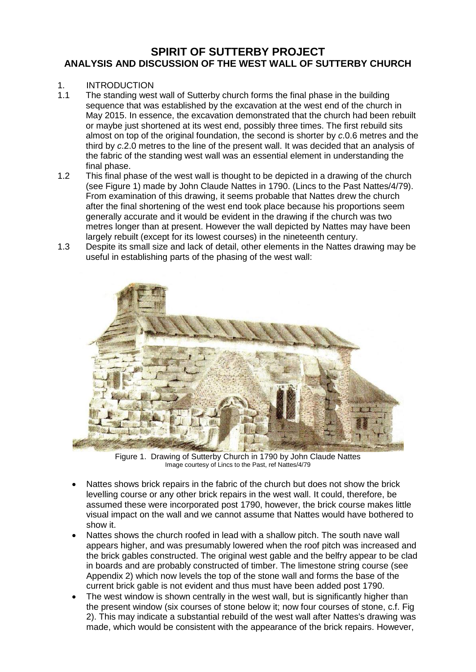## **SPIRIT OF SUTTERBY PROJECT ANALYSIS AND DISCUSSION OF THE WEST WALL OF SUTTERBY CHURCH**

### 1. INTRODUCTION

- 1.1 The standing west wall of Sutterby church forms the final phase in the building sequence that was established by the excavation at the west end of the church in May 2015. In essence, the excavation demonstrated that the church had been rebuilt or maybe just shortened at its west end, possibly three times. The first rebuild sits almost on top of the original foundation, the second is shorter by *c*.0.6 metres and the third by *c*.2.0 metres to the line of the present wall. It was decided that an analysis of the fabric of the standing west wall was an essential element in understanding the final phase.
- 1.2 This final phase of the west wall is thought to be depicted in a drawing of the church (see Figure 1) made by John Claude Nattes in 1790. (Lincs to the Past Nattes/4/79). From examination of this drawing, it seems probable that Nattes drew the church after the final shortening of the west end took place because his proportions seem generally accurate and it would be evident in the drawing if the church was two metres longer than at present. However the wall depicted by Nattes may have been largely rebuilt (except for its lowest courses) in the nineteenth century.
- 1.3 Despite its small size and lack of detail, other elements in the Nattes drawing may be useful in establishing parts of the phasing of the west wall:



Figure 1. Drawing of Sutterby Church in 1790 by John Claude Nattes Image courtesy of Lincs to the Past, ref Nattes/4/79

- Nattes shows brick repairs in the fabric of the church but does not show the brick levelling course or any other brick repairs in the west wall. It could, therefore, be assumed these were incorporated post 1790, however, the brick course makes little visual impact on the wall and we cannot assume that Nattes would have bothered to show it.
- Nattes shows the church roofed in lead with a shallow pitch. The south nave wall appears higher, and was presumably lowered when the roof pitch was increased and the brick gables constructed. The original west gable and the belfry appear to be clad in boards and are probably constructed of timber. The limestone string course (see Appendix 2) which now levels the top of the stone wall and forms the base of the current brick gable is not evident and thus must have been added post 1790.
- The west window is shown centrally in the west wall, but is significantly higher than the present window (six courses of stone below it; now four courses of stone, c.f. Fig 2). This may indicate a substantial rebuild of the west wall after Nattes's drawing was made, which would be consistent with the appearance of the brick repairs. However,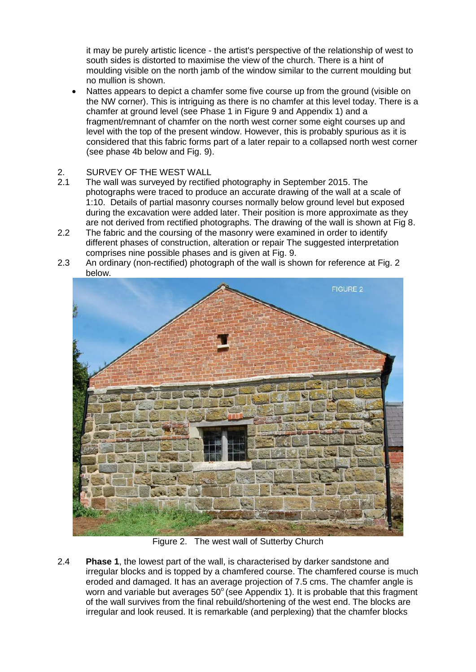it may be purely artistic licence - the artist's perspective of the relationship of west to south sides is distorted to maximise the view of the church. There is a hint of moulding visible on the north jamb of the window similar to the current moulding but no mullion is shown.

- Nattes appears to depict a chamfer some five course up from the ground (visible on the NW corner). This is intriguing as there is no chamfer at this level today. There is a chamfer at ground level (see Phase 1 in Figure 9 and Appendix 1) and a fragment/remnant of chamfer on the north west corner some eight courses up and level with the top of the present window. However, this is probably spurious as it is considered that this fabric forms part of a later repair to a collapsed north west corner (see phase 4b below and Fig. 9).
- 2. SURVEY OF THE WEST WALL
- 2.1 The wall was surveyed by rectified photography in September 2015. The photographs were traced to produce an accurate drawing of the wall at a scale of 1:10. Details of partial masonry courses normally below ground level but exposed during the excavation were added later. Their position is more approximate as they are not derived from rectified photographs. The drawing of the wall is shown at Fig 8.
- 2.2 The fabric and the coursing of the masonry were examined in order to identify different phases of construction, alteration or repair The suggested interpretation comprises nine possible phases and is given at Fig. 9.
- 2.3 An ordinary (non-rectified) photograph of the wall is shown for reference at Fig. 2 below.



Figure 2. The west wall of Sutterby Church

2.4 **Phase 1**, the lowest part of the wall, is characterised by darker sandstone and irregular blocks and is topped by a chamfered course. The chamfered course is much eroded and damaged. It has an average projection of 7.5 cms. The chamfer angle is worn and variable but averages  $50^{\circ}$  (see Appendix 1). It is probable that this fragment of the wall survives from the final rebuild/shortening of the west end. The blocks are irregular and look reused. It is remarkable (and perplexing) that the chamfer blocks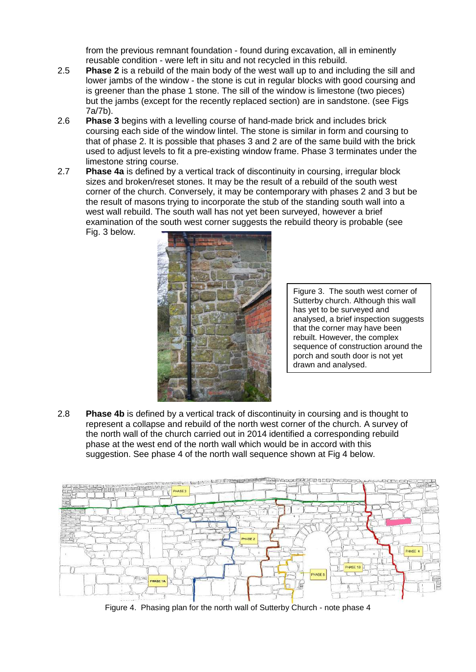from the previous remnant foundation - found during excavation, all in eminently reusable condition - were left in situ and not recycled in this rebuild.

- 2.5 **Phase 2** is a rebuild of the main body of the west wall up to and including the sill and lower jambs of the window - the stone is cut in regular blocks with good coursing and is greener than the phase 1 stone. The sill of the window is limestone (two pieces) but the jambs (except for the recently replaced section) are in sandstone. (see Figs 7a/7b).
- 2.6 **Phase 3** begins with a levelling course of hand-made brick and includes brick coursing each side of the window lintel. The stone is similar in form and coursing to that of phase 2. It is possible that phases 3 and 2 are of the same build with the brick used to adjust levels to fit a pre-existing window frame. Phase 3 terminates under the limestone string course.
- 2.7 **Phase 4a** is defined by a vertical track of discontinuity in coursing, irregular block sizes and broken/reset stones. It may be the result of a rebuild of the south west corner of the church. Conversely, it may be contemporary with phases 2 and 3 but be the result of masons trying to incorporate the stub of the standing south wall into a west wall rebuild. The south wall has not yet been surveyed, however a brief examination of the south west corner suggests the rebuild theory is probable (see Fig. 3 below.



Figure 3. The south west corner of Sutterby church. Although this wall has yet to be surveyed and analysed, a brief inspection suggests that the corner may have been rebuilt. However, the complex sequence of construction around the porch and south door is not yet drawn and analysed.

2.8 **Phase 4b** is defined by a vertical track of discontinuity in coursing and is thought to represent a collapse and rebuild of the north west corner of the church. A survey of the north wall of the church carried out in 2014 identified a corresponding rebuild phase at the west end of the north wall which would be in accord with this suggestion. See phase 4 of the north wall sequence shown at Fig 4 below.



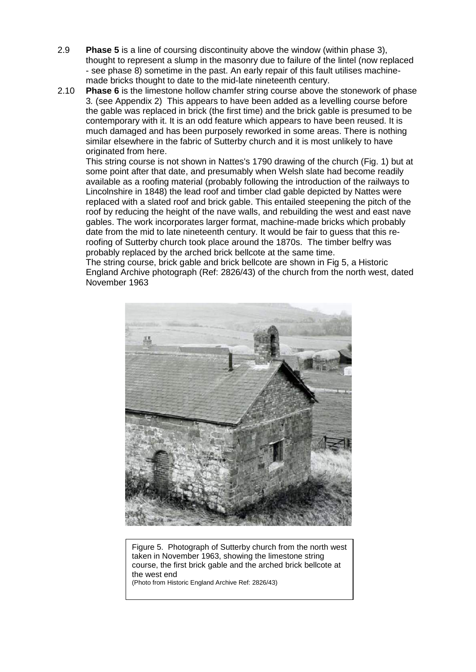- 2.9 **Phase 5** is a line of coursing discontinuity above the window (within phase 3), thought to represent a slump in the masonry due to failure of the lintel (now replaced - see phase 8) sometime in the past. An early repair of this fault utilises machinemade bricks thought to date to the mid-late nineteenth century.
- 2.10 **Phase 6** is the limestone hollow chamfer string course above the stonework of phase 3*.* (see Appendix 2) This appears to have been added as a levelling course before the gable was replaced in brick (the first time) and the brick gable is presumed to be contemporary with it. It is an odd feature which appears to have been reused. It is much damaged and has been purposely reworked in some areas. There is nothing similar elsewhere in the fabric of Sutterby church and it is most unlikely to have originated from here.

This string course is not shown in Nattes's 1790 drawing of the church (Fig. 1) but at some point after that date, and presumably when Welsh slate had become readily available as a roofing material (probably following the introduction of the railways to Lincolnshire in 1848) the lead roof and timber clad gable depicted by Nattes were replaced with a slated roof and brick gable. This entailed steepening the pitch of the roof by reducing the height of the nave walls, and rebuilding the west and east nave gables. The work incorporates larger format, machine-made bricks which probably date from the mid to late nineteenth century. It would be fair to guess that this reroofing of Sutterby church took place around the 1870s. The timber belfry was probably replaced by the arched brick bellcote at the same time.

The string course, brick gable and brick bellcote are shown in Fig 5, a Historic England Archive photograph (Ref: 2826/43) of the church from the north west, dated November 1963



Figure 5. Photograph of Sutterby church from the north west taken in November 1963, showing the limestone string course, the first brick gable and the arched brick bellcote at the west end (Photo from Historic England Archive Ref: 2826/43)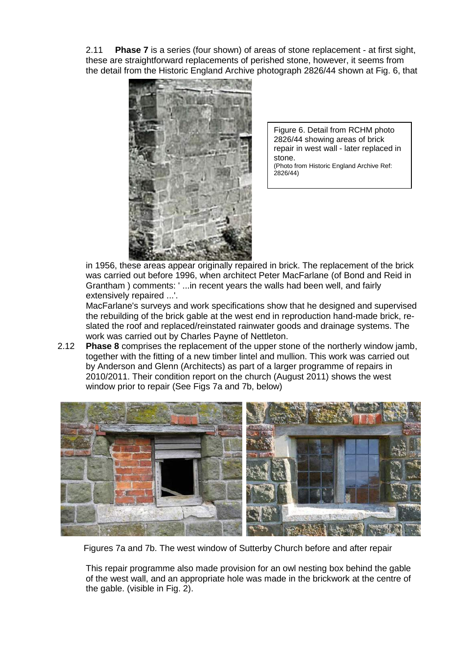2.11 **Phase 7** is a series (four shown) of areas of stone replacement - at first sight, these are straightforward replacements of perished stone, however, it seems from the detail from the Historic England Archive photograph 2826/44 shown at Fig. 6, that



Figure 6. Detail from RCHM photo 2826/44 showing areas of brick repair in west wall - later replaced in stone. (Photo from Historic England Archive Ref:  $2826/44$ 

in 1956, these areas appear originally repaired in brick. The replacement of the brick was carried out before 1996, when architect Peter MacFarlane (of Bond and Reid in Grantham ) comments: ' ...in recent years the walls had been well, and fairly extensively repaired ...'.

MacFarlane's surveys and work specifications show that he designed and supervised the rebuilding of the brick gable at the west end in reproduction hand-made brick, reslated the roof and replaced/reinstated rainwater goods and drainage systems. The work was carried out by Charles Payne of Nettleton.

2.12 **Phase 8** comprises the replacement of the upper stone of the northerly window jamb, together with the fitting of a new timber lintel and mullion. This work was carried out by Anderson and Glenn (Architects) as part of a larger programme of repairs in 2010/2011. Their condition report on the church (August 2011) shows the west window prior to repair (See Figs 7a and 7b, below)



Figures 7a and 7b. The west window of Sutterby Church before and after repair

This repair programme also made provision for an owl nesting box behind the gable of the west wall, and an appropriate hole was made in the brickwork at the centre of the gable. (visible in Fig. 2).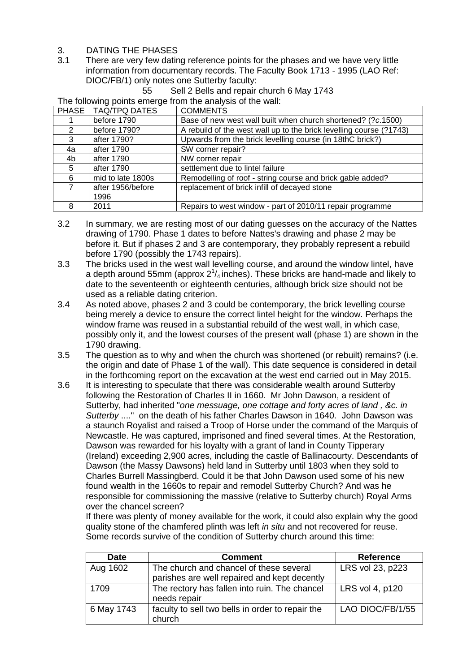- 3. DATING THE PHASES
- 3.1 There are very few dating reference points for the phases and we have very little information from documentary records. The Faculty Book 1713 - 1995 (LAO Ref: DIOC/FB/1) only notes one Sutterby faculty:

55 Sell 2 Bells and repair church 6 May 1743

The following points emerge from the analysis of the wall:

| PHASE | TAQ/TPQ DATES     | <b>COMMENTS</b>                                                     |
|-------|-------------------|---------------------------------------------------------------------|
|       | before 1790       | Base of new west wall built when church shortened? (?c.1500)        |
| 2     | before 1790?      | A rebuild of the west wall up to the brick levelling course (?1743) |
| 3     | after 1790?       | Upwards from the brick levelling course (in 18thC brick?)           |
| 4a    | after 1790        | SW corner repair?                                                   |
| 4b    | after 1790        | NW corner repair                                                    |
| 5     | after 1790        | settlement due to lintel failure                                    |
| 6     | mid to late 1800s | Remodelling of roof - string course and brick gable added?          |
| 7     | after 1956/before | replacement of brick infill of decayed stone                        |
|       | 1996              |                                                                     |
| 8     | 2011              | Repairs to west window - part of 2010/11 repair programme           |

- 3.2 In summary, we are resting most of our dating guesses on the accuracy of the Nattes drawing of 1790. Phase 1 dates to before Nattes's drawing and phase 2 may be before it. But if phases 2 and 3 are contemporary, they probably represent a rebuild before 1790 (possibly the 1743 repairs).
- 3.3 The bricks used in the west wall levelling course, and around the window lintel, have a depth around 55mm (approx  $2^1\prime_4$  inches). These bricks are hand-made and likely to date to the seventeenth or eighteenth centuries, although brick size should not be used as a reliable dating criterion.
- 3.4 As noted above, phases 2 and 3 could be contemporary, the brick levelling course being merely a device to ensure the correct lintel height for the window. Perhaps the window frame was reused in a substantial rebuild of the west wall, in which case, possibly only it, and the lowest courses of the present wall (phase 1) are shown in the 1790 drawing.
- 3.5 The question as to why and when the church was shortened (or rebuilt) remains? (i.e. the origin and date of Phase 1 of the wall). This date sequence is considered in detail in the forthcoming report on the excavation at the west end carried out in May 2015.
- 3.6 It is interesting to speculate that there was considerable wealth around Sutterby following the Restoration of Charles II in 1660. Mr John Dawson, a resident of Sutterby, had inherited "*one messuage, one cottage and forty acres of land , &c. in Sutterby* ...." on the death of his father Charles Dawson in 1640. John Dawson was a staunch Royalist and raised a Troop of Horse under the command of the Marquis of Newcastle. He was captured, imprisoned and fined several times. At the Restoration, Dawson was rewarded for his loyalty with a grant of land in County Tipperary (Ireland) exceeding 2,900 acres, including the castle of Ballinacourty. Descendants of Dawson (the Massy Dawsons) held land in Sutterby until 1803 when they sold to Charles Burrell Massingberd. Could it be that John Dawson used some of his new found wealth in the 1660s to repair and remodel Sutterby Church? And was he responsible for commissioning the massive (relative to Sutterby church) Royal Arms over the chancel screen?

If there was plenty of money available for the work, it could also explain why the good quality stone of the chamfered plinth was left *in situ* and not recovered for reuse. Some records survive of the condition of Sutterby church around this time:

| <b>Date</b> | <b>Comment</b>                                   | <b>Reference</b> |
|-------------|--------------------------------------------------|------------------|
| Aug 1602    | LRS vol 23, p223                                 |                  |
|             | parishes are well repaired and kept decently     |                  |
| 1709        | The rectory has fallen into ruin. The chancel    | LRS vol 4, p120  |
|             | needs repair                                     |                  |
| 6 May 1743  | faculty to sell two bells in order to repair the | LAO DIOC/FB/1/55 |
|             | church                                           |                  |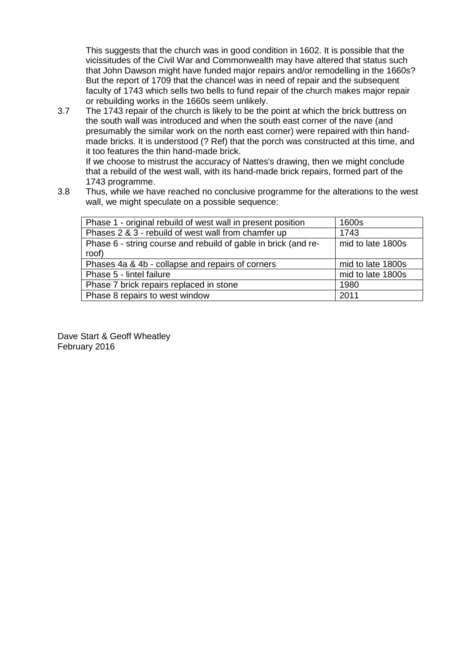This suggests that the church was in good condition in 1602. It is possible that the vicissitudes of the Civil War and Commonwealth may have altered that status such that John Dawson might have funded major repairs and/or remodelling in the 1660s? But the report of 1709 that the chancel was in need of repair and the subsequent faculty of 1743 which sells two bells to fund repair of the church makes major repair or rebuilding works in the 1660s seem unlikely.

3.7 The 1743 repair of the church is likely to be the point at which the brick buttress on the south wall was introduced and when the south east corner of the nave (and presumably the similar work on the north east corner) were repaired with thin handmade bricks. It is understood (? Ref) that the porch was constructed at this time, and it too features the thin hand-made brick. If we choose to mistrust the accuracy of Nattes's drawing, then we might conclude

that a rebuild of the west wall, with its hand-made brick repairs, formed part of the 1743 programme.

3.8 Thus, while we have reached no conclusive programme for the alterations to the west wall, we might speculate on a possible sequence:

| Phase 1 - original rebuild of west wall in present position    | 1600s             |
|----------------------------------------------------------------|-------------------|
|                                                                |                   |
| Phases 2 & 3 - rebuild of west wall from chamfer up            | 1743              |
| Phase 6 - string course and rebuild of gable in brick (and re- | mid to late 1800s |
|                                                                |                   |
| roof)                                                          |                   |
| Phases 4a & 4b - collapse and repairs of corners               | mid to late 1800s |
|                                                                |                   |
| Phase 5 - lintel failure                                       | mid to late 1800s |
|                                                                |                   |
| Phase 7 brick repairs replaced in stone                        | 1980              |
|                                                                |                   |
|                                                                |                   |
| Phase 8 repairs to west window                                 | 2011              |

Dave Start & Geoff Wheatley February 2016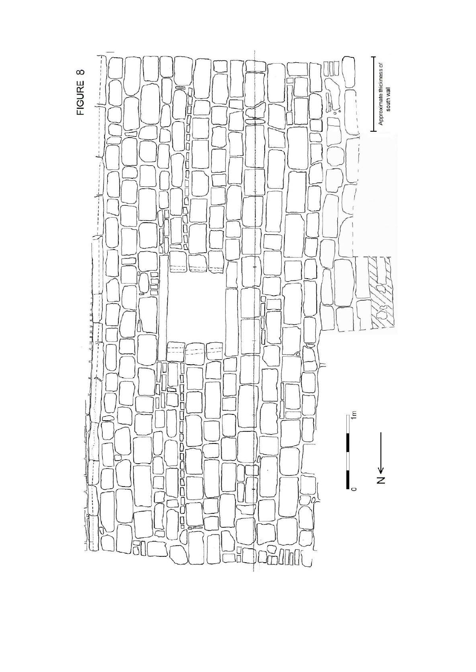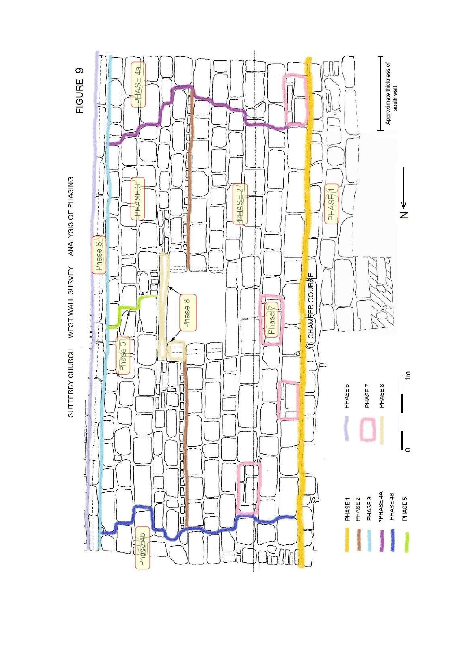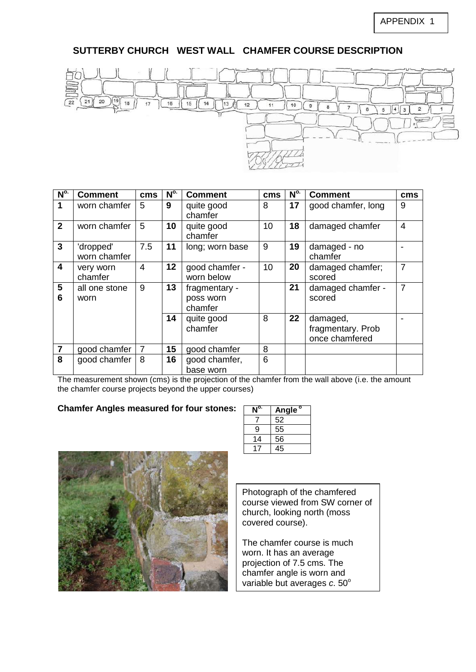# **SUTTERBY CHURCH WEST WALL CHAMFER COURSE DESCRIPTION**



| N <sup>o</sup>          | <b>Comment</b>            | <b>cms</b>     | N <sup>o</sup> | <b>Comment</b>                        | <b>cms</b> | N <sup>o</sup> | <b>Comment</b>                                  | cms            |
|-------------------------|---------------------------|----------------|----------------|---------------------------------------|------------|----------------|-------------------------------------------------|----------------|
| 1                       | worn chamfer              | 5              | 9              | quite good<br>chamfer                 | 8          | 17             | good chamfer, long                              | 9              |
| $\mathbf{2}$            | worn chamfer              | 5              | 10             | quite good<br>chamfer                 | 10         | 18             | damaged chamfer                                 | $\overline{4}$ |
| 3                       | 'dropped'<br>worn chamfer | 7.5            | 11             | long; worn base                       | 9          | 19             | damaged - no<br>chamfer                         |                |
| $\overline{\mathbf{4}}$ | very worn<br>chamfer      | $\overline{4}$ | 12             | good chamfer -<br>worn below          | 10         | 20             | damaged chamfer;<br>scored                      | $\overline{7}$ |
| $5\phantom{.0}$<br>6    | all one stone<br>worn     | 9              | 13             | fragmentary -<br>poss worn<br>chamfer |            | 21             | damaged chamfer -<br>scored                     | $\overline{7}$ |
|                         |                           |                | 14             | quite good<br>chamfer                 | 8          | 22             | damaged,<br>fragmentary. Prob<br>once chamfered |                |
| $\overline{7}$          | good chamfer              | $\overline{7}$ | 15             | good chamfer                          | 8          |                |                                                 |                |
| 8                       | good chamfer              | 8              | 16             | good chamfer,<br>base worn            | 6          |                |                                                 |                |

The measurement shown (cms) is the projection of the chamfer from the wall above (i.e. the amount the chamfer course projects beyond the upper courses)

#### **Chamfer Angles measured for four stones:**



| $N^{o}$ | Angle <sup>o</sup> |
|---------|--------------------|
|         | 52                 |
| 9       | 55                 |
| 14      | 56                 |
|         | .5                 |

Photograph of the chamfered course viewed from SW corner of church, looking north (moss covered course).

The chamfer course is much worn. It has an average projection of 7.5 cms. The chamfer angle is worn and variable but averages *c*. 50°